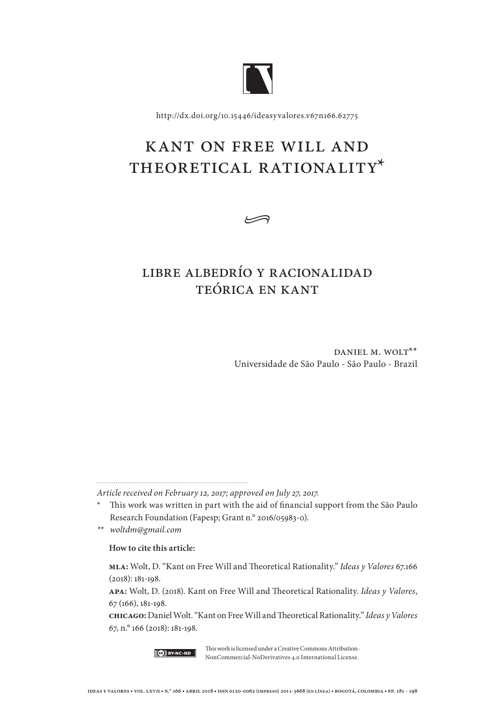

http://dx.doi.org/10.15446/ideasyvalores.v67n166.62775

# Kant on Free Will and THEORETICAL RATIONALITY\*

•

## Libre albedrío y racionalidad teórica en Kant

DANIEL M. WOLT<sup>\*\*</sup> Universidade de São Paulo - São Paulo - Brazil

*Article received on February 12, 2017; approved on July 27, 2017.*

*\*\* woltdm@gmail.com*

### **How to cite this article:**

**mla:** Wolt, D. "Kant on Free Will and Theoretical Rationality." *Ideas y Valores* 67.166 (2018): 181-198.

**apa:** Wolt, D. (2018). Kant on Free Will and Theoretical Rationality. *Ideas y Valores*, 67 (166), 181-198.

**chicago:** Daniel Wolt. "Kant on Free Will and Theoretical Rationality." *Ideas y Valores* 67, n.° 166 (2018): 181-198.



This work is licensed under a Creative Commons Attribution-NonCommercial-NoDerivatives 4.0 International License.

<sup>\*</sup> This work was written in part with the aid of financial support from the São Paulo Research Foundation (Fapesp; Grant n.° 2016/05983-0).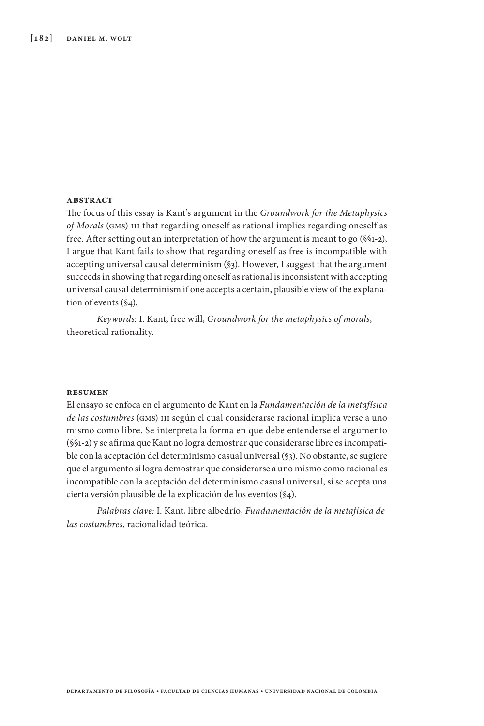#### **abstract**

The focus of this essay is Kant's argument in the *Groundwork for the Metaphysics of Morals* (gms) iii that regarding oneself as rational implies regarding oneself as free. After setting out an interpretation of how the argument is meant to go (§§1-2), I argue that Kant fails to show that regarding oneself as free is incompatible with accepting universal causal determinism (§3). However, I suggest that the argument succeeds in showing that regarding oneself as rational is inconsistent with accepting universal causal determinism if one accepts a certain, plausible view of the explanation of events (§4).

*Keywords:* I. Kant, free will, *Groundwork for the metaphysics of morals*, theoretical rationality.

#### **resumen**

El ensayo se enfoca en el argumento de Kant en la *Fundamentación de la metafísica de las costumbres* (gms) iii según el cual considerarse racional implica verse a uno mismo como libre. Se interpreta la forma en que debe entenderse el argumento (§§1-2) y se afirma que Kant no logra demostrar que considerarse libre es incompatible con la aceptación del determinismo casual universal (§3). No obstante, se sugiere que el argumento sí logra demostrar que considerarse a uno mismo como racional es incompatible con la aceptación del determinismo casual universal, si se acepta una cierta versión plausible de la explicación de los eventos (§4).

*Palabras clave:* I. Kant, libre albedrío, *Fundamentación de la metafísica de las costumbres*, racionalidad teórica.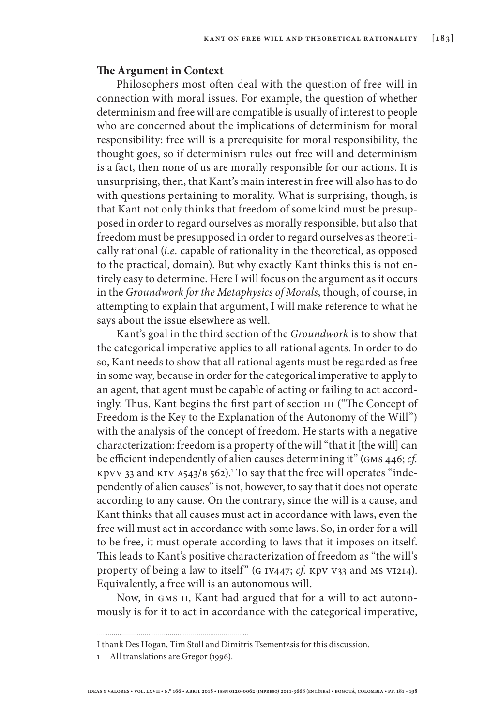#### **The Argument in Context**

Philosophers most often deal with the question of free will in connection with moral issues. For example, the question of whether determinism and free will are compatible is usually of interest to people who are concerned about the implications of determinism for moral responsibility: free will is a prerequisite for moral responsibility, the thought goes, so if determinism rules out free will and determinism is a fact, then none of us are morally responsible for our actions. It is unsurprising, then, that Kant's main interest in free will also has to do with questions pertaining to morality. What is surprising, though, is that Kant not only thinks that freedom of some kind must be presupposed in order to regard ourselves as morally responsible, but also that freedom must be presupposed in order to regard ourselves as theoretically rational (*i.e.* capable of rationality in the theoretical, as opposed to the practical, domain). But why exactly Kant thinks this is not entirely easy to determine. Here I will focus on the argument as it occurs in the *Groundwork for the Metaphysics of Morals*, though, of course, in attempting to explain that argument, I will make reference to what he says about the issue elsewhere as well.

Kant's goal in the third section of the *Groundwork* is to show that the categorical imperative applies to all rational agents. In order to do so, Kant needs to show that all rational agents must be regarded as free in some way, because in order for the categorical imperative to apply to an agent, that agent must be capable of acting or failing to act accordingly. Thus, Kant begins the first part of section III ("The Concept of Freedom is the Key to the Explanation of the Autonomy of the Will") with the analysis of the concept of freedom. He starts with a negative characterization: freedom is a property of the will "that it [the will] can be efficient independently of alien causes determining it" (gms 446; *cf.*  kpvv 33 and krv a543/b 562).1 To say that the free will operates "independently of alien causes" is not, however, to say that it does not operate according to any cause. On the contrary, since the will is a cause, and Kant thinks that all causes must act in accordance with laws, even the free will must act in accordance with some laws. So, in order for a will to be free, it must operate according to laws that it imposes on itself. This leads to Kant's positive characterization of freedom as "the will's property of being a law to itself" (G IV447; *cf.* KpV V33 and MS VI214). Equivalently, a free will is an autonomous will.

Now, in GMS II, Kant had argued that for a will to act autonomously is for it to act in accordance with the categorical imperative,

I thank Des Hogan, Tim Stoll and Dimitris Tsementzsis for this discussion.

<sup>1</sup> All translations are Gregor (1996).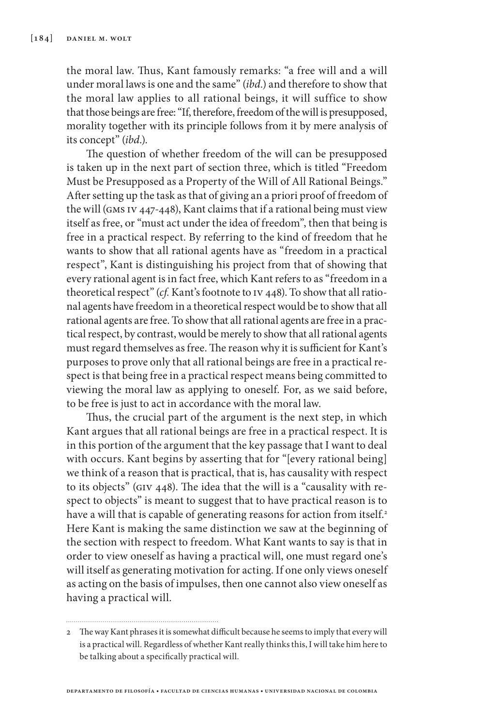the moral law. Thus, Kant famously remarks: "a free will and a will under moral laws is one and the same" (*ibd.*) and therefore to show that the moral law applies to all rational beings, it will suffice to show that those beings are free: "If, therefore, freedom of the will is presupposed, morality together with its principle follows from it by mere analysis of its concept" (*ibd*.).

The question of whether freedom of the will can be presupposed is taken up in the next part of section three, which is titled "Freedom Must be Presupposed as a Property of the Will of All Rational Beings." After setting up the task as that of giving an a priori proof of freedom of the will (gms iv 447-448), Kant claims that if a rational being must view itself as free, or "must act under the idea of freedom", then that being is free in a practical respect. By referring to the kind of freedom that he wants to show that all rational agents have as "freedom in a practical respect", Kant is distinguishing his project from that of showing that every rational agent is in fact free, which Kant refers to as "freedom in a theoretical respect" (*cf.* Kant's footnote to iv 448). To show that all rational agents have freedom in a theoretical respect would be to show that all rational agents are free. To show that all rational agents are free in a practical respect, by contrast, would be merely to show that all rational agents must regard themselves as free. The reason why it is sufficient for Kant's purposes to prove only that all rational beings are free in a practical respect is that being free in a practical respect means being committed to viewing the moral law as applying to oneself. For, as we said before, to be free is just to act in accordance with the moral law.

Thus, the crucial part of the argument is the next step, in which Kant argues that all rational beings are free in a practical respect. It is in this portion of the argument that the key passage that I want to deal with occurs. Kant begins by asserting that for "[every rational being] we think of a reason that is practical, that is, has causality with respect to its objects" (giv 448). The idea that the will is a "causality with respect to objects" is meant to suggest that to have practical reason is to have a will that is capable of generating reasons for action from itself.<sup>2</sup> Here Kant is making the same distinction we saw at the beginning of the section with respect to freedom. What Kant wants to say is that in order to view oneself as having a practical will, one must regard one's will itself as generating motivation for acting. If one only views oneself as acting on the basis of impulses, then one cannot also view oneself as having a practical will.

<sup>2</sup> The way Kant phrases it is somewhat difficult because he seems to imply that every will is a practical will. Regardless of whether Kant really thinks this, I will take him here to be talking about a specifically practical will.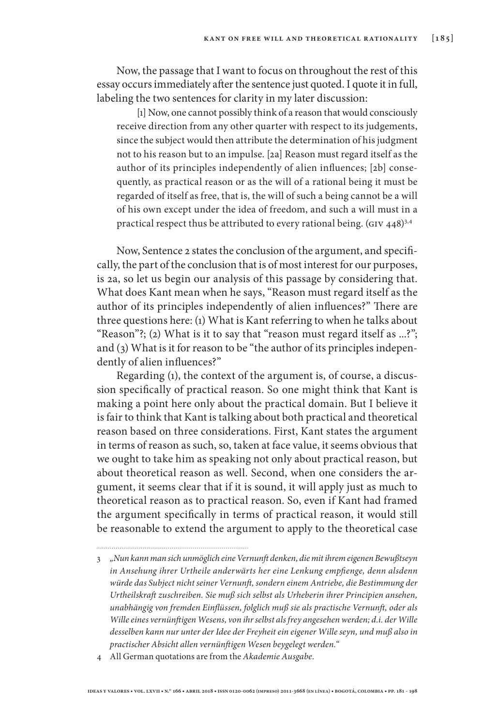Now, the passage that I want to focus on throughout the rest of this essay occurs immediately after the sentence just quoted. I quote it in full, labeling the two sentences for clarity in my later discussion:

[1] Now, one cannot possibly think of a reason that would consciously receive direction from any other quarter with respect to its judgements, since the subject would then attribute the determination of his judgment not to his reason but to an impulse. [2a] Reason must regard itself as the author of its principles independently of alien influences; [2b] consequently, as practical reason or as the will of a rational being it must be regarded of itself as free, that is, the will of such a being cannot be a will of his own except under the idea of freedom, and such a will must in a practical respect thus be attributed to every rational being. (GIV 448)<sup>3,4</sup>

Now, Sentence 2 states the conclusion of the argument, and specifically, the part of the conclusion that is of most interest for our purposes, is 2a, so let us begin our analysis of this passage by considering that. What does Kant mean when he says, "Reason must regard itself as the author of its principles independently of alien influences?" There are three questions here: (1) What is Kant referring to when he talks about "Reason"?; (2) What is it to say that "reason must regard itself as ...?"; and (3) What is it for reason to be "the author of its principles independently of alien influences?"

Regarding (1), the context of the argument is, of course, a discussion specifically of practical reason. So one might think that Kant is making a point here only about the practical domain. But I believe it is fair to think that Kant is talking about both practical and theoretical reason based on three considerations. First, Kant states the argument in terms of reason as such, so, taken at face value, it seems obvious that we ought to take him as speaking not only about practical reason, but about theoretical reason as well. Second, when one considers the argument, it seems clear that if it is sound, it will apply just as much to theoretical reason as to practical reason. So, even if Kant had framed the argument specifically in terms of practical reason, it would still be reasonable to extend the argument to apply to the theoretical case

4 All German quotations are from the *Akademie Ausgabe*.

<sup>3</sup> *"Nun kann man sich unmöglich eine Vernunft denken, die mit ihrem eigenen Bewußtseyn in Ansehung ihrer Urtheile anderwärts her eine Lenkung empfienge, denn alsdenn würde das Subject nicht seiner Vernunft, sondern einem Antriebe, die Bestimmung der Urtheilskraft zuschreiben. Sie muß sich selbst als Urheberin ihrer Principien ansehen, unabhängig von fremden Einflüssen, folglich muß sie als practische Vernunft, oder als Wille eines vernünftigen Wesens, von ihr selbst als frey angesehen werden; d.i. der Wille desselben kann nur unter der Idee der Freyheit ein eigener Wille seyn, und muß also in practischer Absicht allen vernünftigen Wesen beygelegt werden."*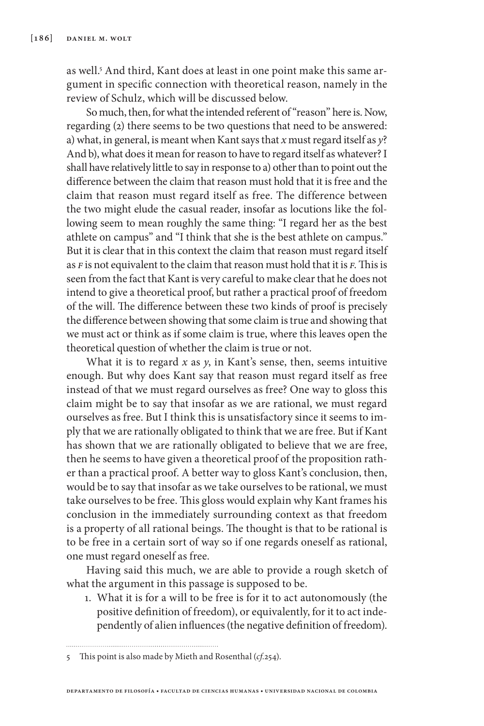as well.5 And third, Kant does at least in one point make this same argument in specific connection with theoretical reason, namely in the review of Schulz, which will be discussed below.

So much, then, for what the intended referent of "reason" here is. Now, regarding (2) there seems to be two questions that need to be answered: a) what, in general, is meant when Kant says that *x* must regard itself as *y*? And b), what does it mean for reason to have to regard itself as whatever? I shall have relatively little to say in response to a) other than to point out the difference between the claim that reason must hold that it is free and the claim that reason must regard itself as free. The difference between the two might elude the casual reader, insofar as locutions like the following seem to mean roughly the same thing: "I regard her as the best athlete on campus" and "I think that she is the best athlete on campus." But it is clear that in this context the claim that reason must regard itself as *f* is not equivalent to the claim that reason must hold that it is *f*. This is seen from the fact that Kant is very careful to make clear that he does not intend to give a theoretical proof, but rather a practical proof of freedom of the will. The difference between these two kinds of proof is precisely the difference between showing that some claim is true and showing that we must act or think as if some claim is true, where this leaves open the theoretical question of whether the claim is true or not.

What it is to regard *x* as *y*, in Kant's sense, then, seems intuitive enough. But why does Kant say that reason must regard itself as free instead of that we must regard ourselves as free? One way to gloss this claim might be to say that insofar as we are rational, we must regard ourselves as free. But I think this is unsatisfactory since it seems to imply that we are rationally obligated to think that we are free. But if Kant has shown that we are rationally obligated to believe that we are free, then he seems to have given a theoretical proof of the proposition rather than a practical proof. A better way to gloss Kant's conclusion, then, would be to say that insofar as we take ourselves to be rational, we must take ourselves to be free. This gloss would explain why Kant frames his conclusion in the immediately surrounding context as that freedom is a property of all rational beings. The thought is that to be rational is to be free in a certain sort of way so if one regards oneself as rational, one must regard oneself as free.

Having said this much, we are able to provide a rough sketch of what the argument in this passage is supposed to be.

1. What it is for a will to be free is for it to act autonomously (the positive definition of freedom), or equivalently, for it to act independently of alien influences (the negative definition of freedom).

5 This point is also made by Mieth and Rosenthal (*cf.*254).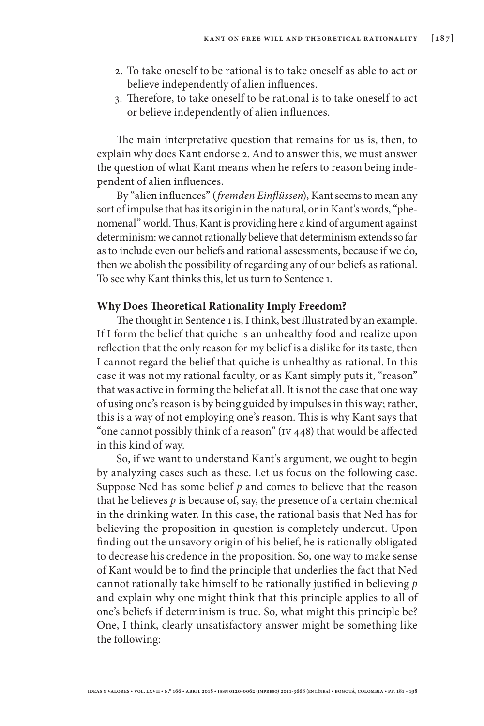- 2. To take oneself to be rational is to take oneself as able to act or believe independently of alien influences.
- 3. Therefore, to take oneself to be rational is to take oneself to act or believe independently of alien influences.

The main interpretative question that remains for us is, then, to explain why does Kant endorse 2. And to answer this, we must answer the question of what Kant means when he refers to reason being independent of alien influences.

By "alien influences" (*fremden Einflüssen*), Kant seems to mean any sort of impulse that has its origin in the natural, or in Kant's words, "phenomenal" world. Thus, Kant is providing here a kind of argument against determinism: we cannot rationally believe that determinism extends so far as to include even our beliefs and rational assessments, because if we do, then we abolish the possibility of regarding any of our beliefs as rational. To see why Kant thinks this, let us turn to Sentence 1.

## **Why Does Theoretical Rationality Imply Freedom?**

The thought in Sentence 1 is, I think, best illustrated by an example. If I form the belief that quiche is an unhealthy food and realize upon reflection that the only reason for my belief is a dislike for its taste, then I cannot regard the belief that quiche is unhealthy as rational. In this case it was not my rational faculty, or as Kant simply puts it, "reason" that was active in forming the belief at all. It is not the case that one way of using one's reason is by being guided by impulses in this way; rather, this is a way of not employing one's reason. This is why Kant says that "one cannot possibly think of a reason" (iv 448) that would be affected in this kind of way.

So, if we want to understand Kant's argument, we ought to begin by analyzing cases such as these. Let us focus on the following case. Suppose Ned has some belief *p* and comes to believe that the reason that he believes *p* is because of, say, the presence of a certain chemical in the drinking water. In this case, the rational basis that Ned has for believing the proposition in question is completely undercut. Upon finding out the unsavory origin of his belief, he is rationally obligated to decrease his credence in the proposition. So, one way to make sense of Kant would be to find the principle that underlies the fact that Ned cannot rationally take himself to be rationally justified in believing *p* and explain why one might think that this principle applies to all of one's beliefs if determinism is true. So, what might this principle be? One, I think, clearly unsatisfactory answer might be something like the following: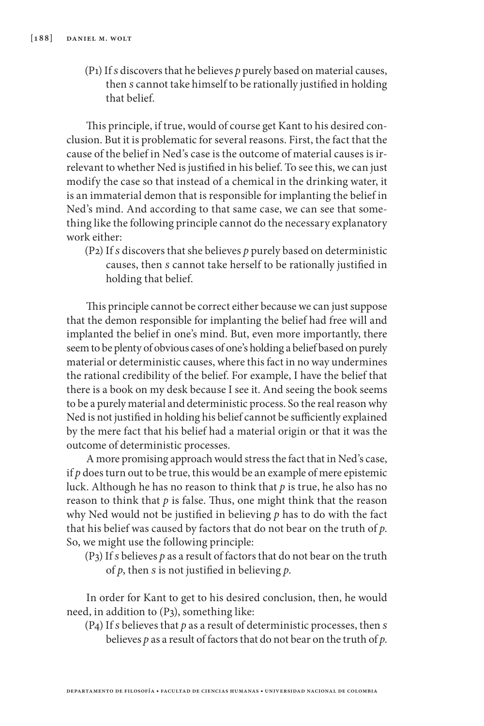(P1) If *s* discovers that he believes *p* purely based on material causes, then *s* cannot take himself to be rationally justified in holding that belief.

This principle, if true, would of course get Kant to his desired conclusion. But it is problematic for several reasons. First, the fact that the cause of the belief in Ned's case is the outcome of material causes is irrelevant to whether Ned is justified in his belief. To see this, we can just modify the case so that instead of a chemical in the drinking water, it is an immaterial demon that is responsible for implanting the belief in Ned's mind. And according to that same case, we can see that something like the following principle cannot do the necessary explanatory work either:

(P2) If *s* discovers that she believes *p* purely based on deterministic causes, then *s* cannot take herself to be rationally justified in holding that belief.

This principle cannot be correct either because we can just suppose that the demon responsible for implanting the belief had free will and implanted the belief in one's mind. But, even more importantly, there seem to be plenty of obvious cases of one's holding a belief based on purely material or deterministic causes, where this fact in no way undermines the rational credibility of the belief. For example, I have the belief that there is a book on my desk because I see it. And seeing the book seems to be a purely material and deterministic process. So the real reason why Ned is not justified in holding his belief cannot be sufficiently explained by the mere fact that his belief had a material origin or that it was the outcome of deterministic processes.

A more promising approach would stress the fact that in Ned's case, if  $p$  does turn out to be true, this would be an example of mere epistemic luck. Although he has no reason to think that *p* is true, he also has no reason to think that  $p$  is false. Thus, one might think that the reason why Ned would not be justified in believing *p* has to do with the fact that his belief was caused by factors that do not bear on the truth of *p*. So, we might use the following principle:

(P3) If *s* believes *p* as a result of factors that do not bear on the truth of *p*, then *s* is not justified in believing *p*.

In order for Kant to get to his desired conclusion, then, he would need, in addition to (P3), something like:

(P4) If *s* believes that *p* as a result of deterministic processes, then *s*  believes *p* as a result of factors that do not bear on the truth of *p*.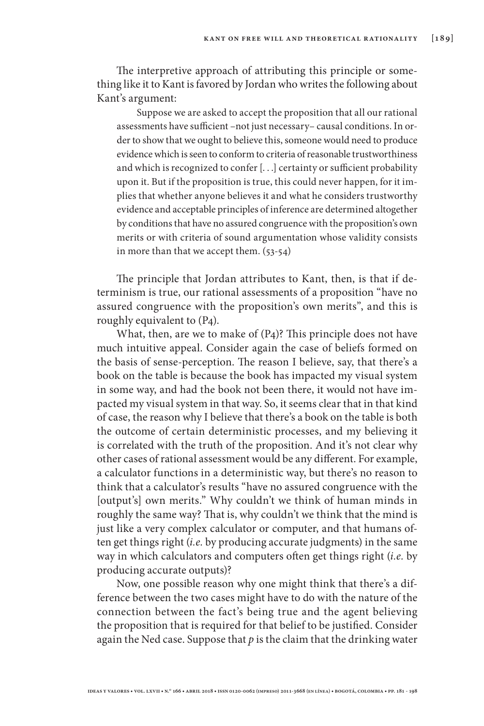The interpretive approach of attributing this principle or something like it to Kant is favored by Jordan who writes the following about Kant's argument:

Suppose we are asked to accept the proposition that all our rational assessments have sufficient –not just necessary– causal conditions. In order to show that we ought to believe this, someone would need to produce evidence which is seen to conform to criteria of reasonable trustworthiness and which is recognized to confer [. . .] certainty or sufficient probability upon it. But if the proposition is true, this could never happen, for it implies that whether anyone believes it and what he considers trustworthy evidence and acceptable principles of inference are determined altogether by conditions that have no assured congruence with the proposition's own merits or with criteria of sound argumentation whose validity consists in more than that we accept them. (53-54)

The principle that Jordan attributes to Kant, then, is that if determinism is true, our rational assessments of a proposition "have no assured congruence with the proposition's own merits", and this is roughly equivalent to (P4).

What, then, are we to make of (P4)? This principle does not have much intuitive appeal. Consider again the case of beliefs formed on the basis of sense-perception. The reason I believe, say, that there's a book on the table is because the book has impacted my visual system in some way, and had the book not been there, it would not have impacted my visual system in that way. So, it seems clear that in that kind of case, the reason why I believe that there's a book on the table is both the outcome of certain deterministic processes, and my believing it is correlated with the truth of the proposition. And it's not clear why other cases of rational assessment would be any different. For example, a calculator functions in a deterministic way, but there's no reason to think that a calculator's results "have no assured congruence with the [output's] own merits." Why couldn't we think of human minds in roughly the same way? That is, why couldn't we think that the mind is just like a very complex calculator or computer, and that humans often get things right (*i.e.* by producing accurate judgments) in the same way in which calculators and computers often get things right (*i.e.* by producing accurate outputs)?

Now, one possible reason why one might think that there's a difference between the two cases might have to do with the nature of the connection between the fact's being true and the agent believing the proposition that is required for that belief to be justified. Consider again the Ned case. Suppose that *p* is the claim that the drinking water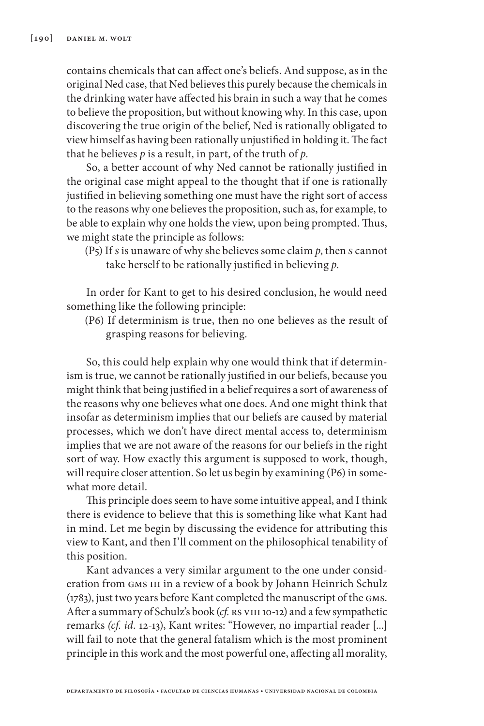contains chemicals that can affect one's beliefs. And suppose, as in the original Ned case, that Ned believes this purely because the chemicals in the drinking water have affected his brain in such a way that he comes to believe the proposition, but without knowing why. In this case, upon discovering the true origin of the belief, Ned is rationally obligated to view himself as having been rationally unjustified in holding it. The fact that he believes *p* is a result, in part, of the truth of *p*.

So, a better account of why Ned cannot be rationally justified in the original case might appeal to the thought that if one is rationally justified in believing something one must have the right sort of access to the reasons why one believes the proposition, such as, for example, to be able to explain why one holds the view, upon being prompted. Thus, we might state the principle as follows:

(P5) If *s* is unaware of why she believes some claim *p*, then *s* cannot take herself to be rationally justified in believing *p*.

In order for Kant to get to his desired conclusion, he would need something like the following principle:

(P6) If determinism is true, then no one believes as the result of grasping reasons for believing.

So, this could help explain why one would think that if determinism is true, we cannot be rationally justified in our beliefs, because you might think that being justified in a belief requires a sort of awareness of the reasons why one believes what one does. And one might think that insofar as determinism implies that our beliefs are caused by material processes, which we don't have direct mental access to, determinism implies that we are not aware of the reasons for our beliefs in the right sort of way. How exactly this argument is supposed to work, though, will require closer attention. So let us begin by examining (P6) in somewhat more detail.

This principle does seem to have some intuitive appeal, and I think there is evidence to believe that this is something like what Kant had in mind. Let me begin by discussing the evidence for attributing this view to Kant, and then I'll comment on the philosophical tenability of this position.

Kant advances a very similar argument to the one under consideration from GMS III in a review of a book by Johann Heinrich Schulz (1783), just two years before Kant completed the manuscript of the gms. After a summary of Schulz's book (*cf.* rs viii 10-12) and a few sympathetic remarks *(cf. id.* 12-13), Kant writes: "However, no impartial reader [...] will fail to note that the general fatalism which is the most prominent principle in this work and the most powerful one, affecting all morality,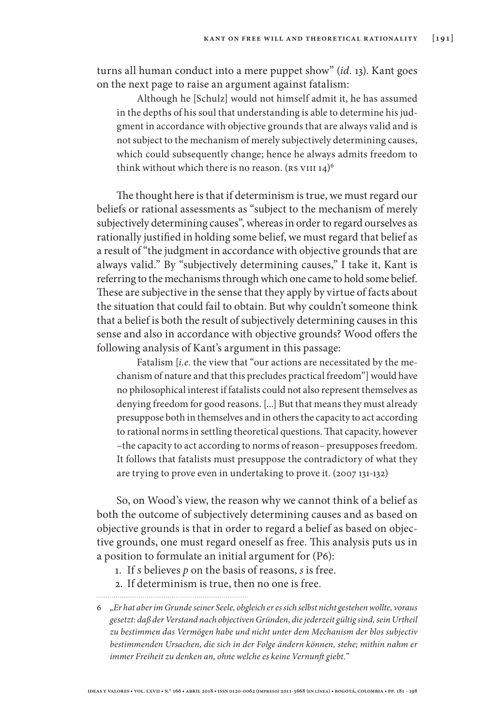turns all human conduct into a mere puppet show" (*id.* 13). Kant goes on the next page to raise an argument against fatalism:

Although he [Schulz] would not himself admit it, he has assumed in the depths of his soul that understanding is able to determine his judgment in accordance with objective grounds that are always valid and is not subject to the mechanism of merely subjectively determining causes, which could subsequently change; hence he always admits freedom to think without which there is no reason.  $($ RS VIII 14 $)^6$ 

The thought here is that if determinism is true, we must regard our beliefs or rational assessments as "subject to the mechanism of merely subjectively determining causes", whereas in order to regard ourselves as rationally justified in holding some belief, we must regard that belief as a result of "the judgment in accordance with objective grounds that are always valid." By "subjectively determining causes," I take it, Kant is referring to the mechanisms through which one came to hold some belief. These are subjective in the sense that they apply by virtue of facts about the situation that could fail to obtain. But why couldn't someone think that a belief is both the result of subjectively determining causes in this sense and also in accordance with objective grounds? Wood offers the following analysis of Kant's argument in this passage:

Fatalism [*i.e*. the view that "our actions are necessitated by the mechanism of nature and that this precludes practical freedom"] would have no philosophical interest if fatalists could not also represent themselves as denying freedom for good reasons. [...] But that means they must already presuppose both in themselves and in others the capacity to act according to rational norms in settling theoretical questions. That capacity, however –the capacity to act according to norms of reason– presupposes freedom. It follows that fatalists must presuppose the contradictory of what they are trying to prove even in undertaking to prove it. (2007 131-132)

So, on Wood's view, the reason why we cannot think of a belief as both the outcome of subjectively determining causes and as based on objective grounds is that in order to regard a belief as based on objective grounds, one must regard oneself as free. This analysis puts us in a position to formulate an initial argument for (P6):

- 1. If *s* believes *p* on the basis of reasons, *s* is free.
- 2. If determinism is true, then no one is free.

<sup>6</sup> *"Er hat aber im Grunde seiner Seele, obgleich er es sich selbst nicht gestehen wollte, voraus gesetzt: daß der Verstand nach objectiven Gründen, die jederzeit gültig sind, sein Urtheil zu bestimmen das Vermögen habe und nicht unter dem Mechanism der blos subjectiv bestimmenden Ursachen, die sich in der Folge ändern können, stehe; mithin nahm er immer Freiheit zu denken an, ohne welche es keine Vernunft giebt."*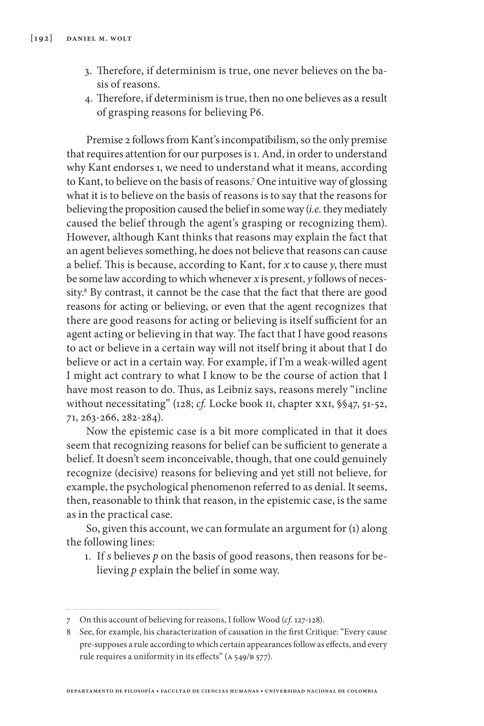- 3. Therefore, if determinism is true, one never believes on the basis of reasons.
- 4. Therefore, if determinism is true, then no one believes as a result of grasping reasons for believing P6.

Premise 2 follows from Kant's incompatibilism, so the only premise that requires attention for our purposes is 1. And, in order to understand why Kant endorses 1, we need to understand what it means, according to Kant, to believe on the basis of reasons.7 One intuitive way of glossing what it is to believe on the basis of reasons is to say that the reasons for believing the proposition caused the belief in some way (*i.e.* they mediately caused the belief through the agent's grasping or recognizing them). However, although Kant thinks that reasons may explain the fact that an agent believes something, he does not believe that reasons can cause a belief. This is because, according to Kant, for *x* to cause *y*, there must be some law according to which whenever *x* is present, *y* follows of necessity.8 By contrast, it cannot be the case that the fact that there are good reasons for acting or believing, or even that the agent recognizes that there are good reasons for acting or believing is itself sufficient for an agent acting or believing in that way. The fact that I have good reasons to act or believe in a certain way will not itself bring it about that I do believe or act in a certain way. For example, if I'm a weak-willed agent I might act contrary to what I know to be the course of action that I have most reason to do. Thus, as Leibniz says, reasons merely "incline without necessitating" (128; *cf.* Locke book II, chapter xxI, §§47, 51-52, 71, 263-266, 282-284).

Now the epistemic case is a bit more complicated in that it does seem that recognizing reasons for belief can be sufficient to generate a belief. It doesn't seem inconceivable, though, that one could genuinely recognize (decisive) reasons for believing and yet still not believe, for example, the psychological phenomenon referred to as denial. It seems, then, reasonable to think that reason, in the epistemic case, is the same as in the practical case.

So, given this account, we can formulate an argument for (1) along the following lines:

1. If *s* believes *p* on the basis of good reasons, then reasons for believing *p* explain the belief in some way.

<sup>7</sup> On this account of believing for reasons, I follow Wood (*cf.* 127-128).

<sup>8</sup> See, for example, his characterization of causation in the first Critique: "Every cause pre-supposes a rule according to which certain appearances follow as effects, and every rule requires a uniformity in its effects" (a 549/b 577).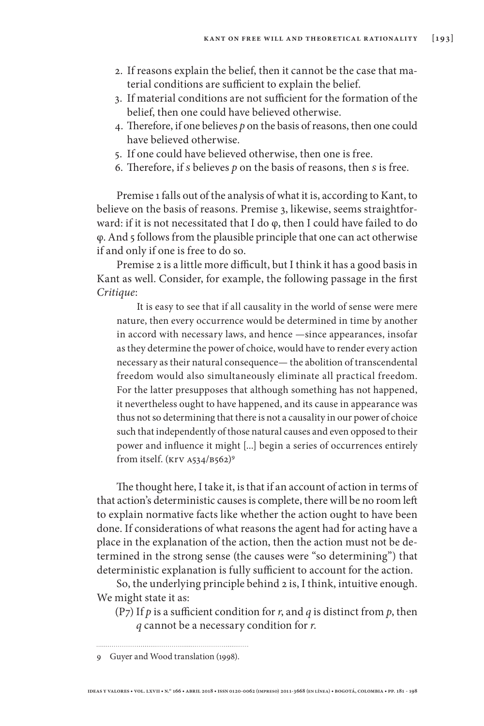- 2. If reasons explain the belief, then it cannot be the case that material conditions are sufficient to explain the belief.
- 3. If material conditions are not sufficient for the formation of the belief, then one could have believed otherwise.
- 4. Therefore, if one believes *p* on the basis of reasons, then one could have believed otherwise.
- 5. If one could have believed otherwise, then one is free.
- 6. Therefore, if *s* believes *p* on the basis of reasons, then *s* is free.

Premise 1 falls out of the analysis of what it is, according to Kant, to believe on the basis of reasons. Premise 3, likewise, seems straightforward: if it is not necessitated that I do φ, then I could have failed to do φ. And 5 follows from the plausible principle that one can act otherwise if and only if one is free to do so.

Premise 2 is a little more difficult, but I think it has a good basis in Kant as well. Consider, for example, the following passage in the first *Critique*:

It is easy to see that if all causality in the world of sense were mere nature, then every occurrence would be determined in time by another in accord with necessary laws, and hence —since appearances, insofar as they determine the power of choice, would have to render every action necessary as their natural consequence— the abolition of transcendental freedom would also simultaneously eliminate all practical freedom. For the latter presupposes that although something has not happened, it nevertheless ought to have happened, and its cause in appearance was thus not so determining that there is not a causality in our power of choice such that independently of those natural causes and even opposed to their power and influence it might [...] begin a series of occurrences entirely from itself. (Krv  $A534/B562$ )<sup>9</sup>

The thought here, I take it, is that if an account of action in terms of that action's deterministic causes is complete, there will be no room left to explain normative facts like whether the action ought to have been done. If considerations of what reasons the agent had for acting have a place in the explanation of the action, then the action must not be determined in the strong sense (the causes were "so determining") that deterministic explanation is fully sufficient to account for the action.

So, the underlying principle behind 2 is, I think, intuitive enough. We might state it as:

(P7) If  $p$  is a sufficient condition for  $r$ , and  $q$  is distinct from  $p$ , then *q* cannot be a necessary condition for *r*.

<sup>9</sup> Guyer and Wood translation (1998).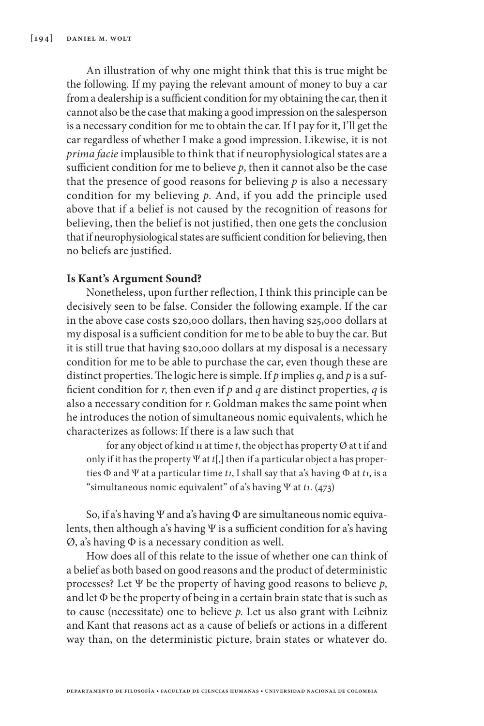An illustration of why one might think that this is true might be the following. If my paying the relevant amount of money to buy a car from a dealership is a sufficient condition for my obtaining the car, then it cannot also be the case that making a good impression on the salesperson is a necessary condition for me to obtain the car. If I pay for it, I'll get the car regardless of whether I make a good impression. Likewise, it is not *prima facie* implausible to think that if neurophysiological states are a sufficient condition for me to believe *p*, then it cannot also be the case that the presence of good reasons for believing  $p$  is also a necessary condition for my believing *p*. And, if you add the principle used above that if a belief is not caused by the recognition of reasons for believing, then the belief is not justified, then one gets the conclusion that if neurophysiological states are sufficient condition for believing, then no beliefs are justified.

## **Is Kant's Argument Sound?**

Nonetheless, upon further reflection, I think this principle can be decisively seen to be false. Consider the following example. If the car in the above case costs \$20,000 dollars, then having \$25,000 dollars at my disposal is a sufficient condition for me to be able to buy the car. But it is still true that having \$20,000 dollars at my disposal is a necessary condition for me to be able to purchase the car, even though these are distinct properties. The logic here is simple. If *p* implies *q*, and *p* is a sufficient condition for *r*, then even if *p* and *q* are distinct properties, *q* is also a necessary condition for *r*. Goldman makes the same point when he introduces the notion of simultaneous nomic equivalents, which he characterizes as follows: If there is a law such that

for any object of kind  $H$  at time  $t$ , the object has property  $\emptyset$  at t if and only if it has the property Ψ at *t*[,] then if a particular object a has properties Φ and Ψ at a particular time *t1*, I shall say that a's having Φ at *t1*, is a "simultaneous nomic equivalent" of a's having Ψ at *t1*. (473)

So, if a's having Ψ and a's having Φ are simultaneous nomic equivalents, then although a's having Ψ is a sufficient condition for a's having Ø, a's having Φ is a necessary condition as well.

How does all of this relate to the issue of whether one can think of a belief as both based on good reasons and the product of deterministic processes? Let Ψ be the property of having good reasons to believe *p*, and let  $\Phi$  be the property of being in a certain brain state that is such as to cause (necessitate) one to believe *p*. Let us also grant with Leibniz and Kant that reasons act as a cause of beliefs or actions in a different way than, on the deterministic picture, brain states or whatever do.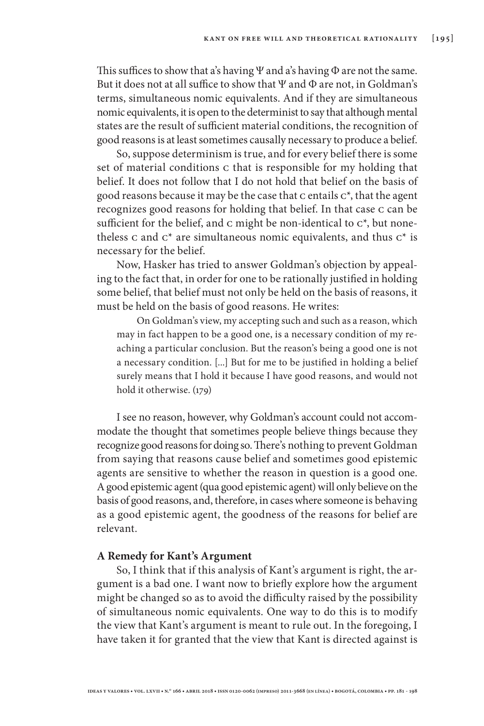This suffices to show that a's having Ψ and a's having Φ are not the same. But it does not at all suffice to show that  $\Psi$  and  $\Phi$  are not, in Goldman's terms, simultaneous nomic equivalents. And if they are simultaneous nomic equivalents, it is open to the determinist to say that although mental states are the result of sufficient material conditions, the recognition of good reasons is at least sometimes causally necessary to produce a belief.

So, suppose determinism is true, and for every belief there is some set of material conditions c that is responsible for my holding that belief. It does not follow that I do not hold that belief on the basis of good reasons because it may be the case that c entails c\*, that the agent recognizes good reasons for holding that belief. In that case c can be sufficient for the belief, and  $c$  might be non-identical to  $c^*$ , but nonetheless c and  $c^*$  are simultaneous nomic equivalents, and thus  $c^*$  is necessary for the belief.

Now, Hasker has tried to answer Goldman's objection by appealing to the fact that, in order for one to be rationally justified in holding some belief, that belief must not only be held on the basis of reasons, it must be held on the basis of good reasons. He writes:

On Goldman's view, my accepting such and such as a reason, which may in fact happen to be a good one, is a necessary condition of my reaching a particular conclusion. But the reason's being a good one is not a necessary condition. [...] But for me to be justified in holding a belief surely means that I hold it because I have good reasons, and would not hold it otherwise. (179)

I see no reason, however, why Goldman's account could not accommodate the thought that sometimes people believe things because they recognize good reasons for doing so. There's nothing to prevent Goldman from saying that reasons cause belief and sometimes good epistemic agents are sensitive to whether the reason in question is a good one. A good epistemic agent (qua good epistemic agent) will only believe on the basis of good reasons, and, therefore, in cases where someone is behaving as a good epistemic agent, the goodness of the reasons for belief are relevant.

#### **A Remedy for Kant's Argument**

So, I think that if this analysis of Kant's argument is right, the argument is a bad one. I want now to briefly explore how the argument might be changed so as to avoid the difficulty raised by the possibility of simultaneous nomic equivalents. One way to do this is to modify the view that Kant's argument is meant to rule out. In the foregoing, I have taken it for granted that the view that Kant is directed against is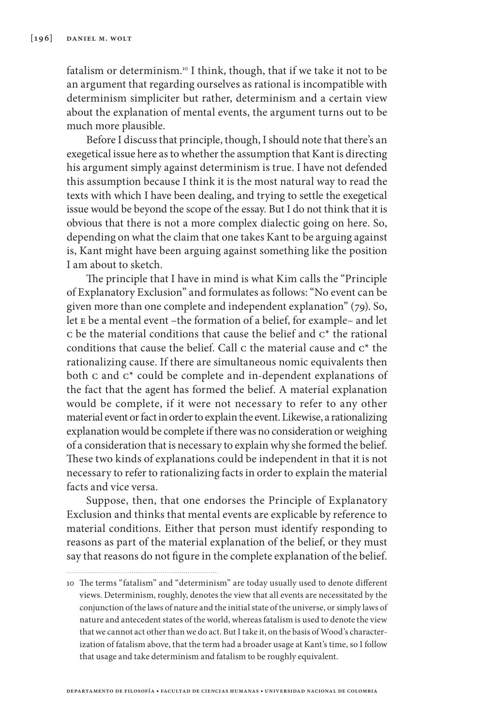fatalism or determinism.10 I think, though, that if we take it not to be an argument that regarding ourselves as rational is incompatible with determinism simpliciter but rather, determinism and a certain view about the explanation of mental events, the argument turns out to be much more plausible.

Before I discuss that principle, though, I should note that there's an exegetical issue here as to whether the assumption that Kant is directing his argument simply against determinism is true. I have not defended this assumption because I think it is the most natural way to read the texts with which I have been dealing, and trying to settle the exegetical issue would be beyond the scope of the essay. But I do not think that it is obvious that there is not a more complex dialectic going on here. So, depending on what the claim that one takes Kant to be arguing against is, Kant might have been arguing against something like the position I am about to sketch.

The principle that I have in mind is what Kim calls the "Principle of Explanatory Exclusion" and formulates as follows: "No event can be given more than one complete and independent explanation" (79). So, let e be a mental event –the formation of a belief, for example– and let c be the material conditions that cause the belief and  $c^*$  the rational conditions that cause the belief. Call c the material cause and c\* the rationalizing cause. If there are simultaneous nomic equivalents then both c and c\* could be complete and in-dependent explanations of the fact that the agent has formed the belief. A material explanation would be complete, if it were not necessary to refer to any other material event or fact in order to explain the event. Likewise, a rationalizing explanation would be complete if there was no consideration or weighing of a consideration that is necessary to explain why she formed the belief. These two kinds of explanations could be independent in that it is not necessary to refer to rationalizing facts in order to explain the material facts and vice versa.

Suppose, then, that one endorses the Principle of Explanatory Exclusion and thinks that mental events are explicable by reference to material conditions. Either that person must identify responding to reasons as part of the material explanation of the belief, or they must say that reasons do not figure in the complete explanation of the belief.

**departamento de filosofía • facultad de ciencias humanas • universidad nacional de colombia**

<sup>10</sup> The terms "fatalism" and "determinism" are today usually used to denote different views. Determinism, roughly, denotes the view that all events are necessitated by the conjunction of the laws of nature and the initial state of the universe, or simply laws of nature and antecedent states of the world, whereas fatalism is used to denote the view that we cannot act other than we do act. But I take it, on the basis of Wood's characterization of fatalism above, that the term had a broader usage at Kant's time, so I follow that usage and take determinism and fatalism to be roughly equivalent.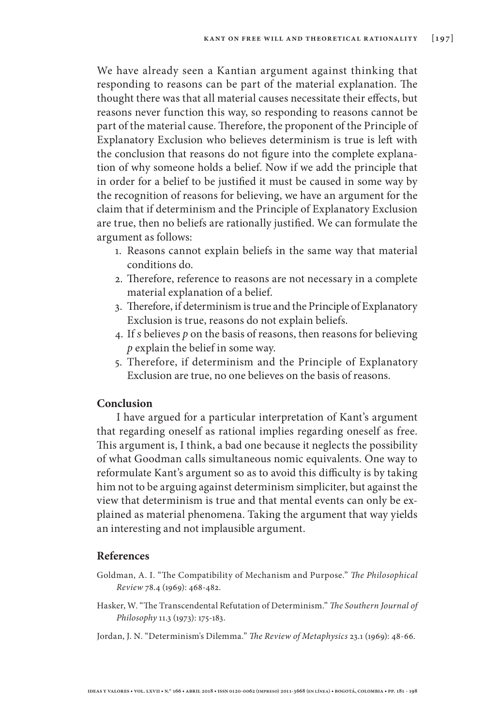We have already seen a Kantian argument against thinking that responding to reasons can be part of the material explanation. The thought there was that all material causes necessitate their effects, but reasons never function this way, so responding to reasons cannot be part of the material cause. Therefore, the proponent of the Principle of Explanatory Exclusion who believes determinism is true is left with the conclusion that reasons do not figure into the complete explanation of why someone holds a belief. Now if we add the principle that in order for a belief to be justified it must be caused in some way by the recognition of reasons for believing, we have an argument for the claim that if determinism and the Principle of Explanatory Exclusion are true, then no beliefs are rationally justified. We can formulate the argument as follows:

- 1. Reasons cannot explain beliefs in the same way that material conditions do.
- 2. Therefore, reference to reasons are not necessary in a complete material explanation of a belief.
- 3. Therefore, if determinism is true and the Principle of Explanatory Exclusion is true, reasons do not explain beliefs.
- 4. If *s* believes *p* on the basis of reasons, then reasons for believing *p* explain the belief in some way.
- 5. Therefore, if determinism and the Principle of Explanatory Exclusion are true, no one believes on the basis of reasons.

## **Conclusion**

I have argued for a particular interpretation of Kant's argument that regarding oneself as rational implies regarding oneself as free. This argument is, I think, a bad one because it neglects the possibility of what Goodman calls simultaneous nomic equivalents. One way to reformulate Kant's argument so as to avoid this difficulty is by taking him not to be arguing against determinism simpliciter, but against the view that determinism is true and that mental events can only be explained as material phenomena. Taking the argument that way yields an interesting and not implausible argument.

#### **References**

- Goldman, A. I. "The Compatibility of Mechanism and Purpose." *The Philosophical Review* 78.4 (1969): 468-482.
- Hasker, W. "The Transcendental Refutation of Determinism." *The Southern Journal of Philosophy* 11.3 (1973): 175-183.
- Jordan, J. N. "Determinism's Dilemma." *The Review of Metaphysics* 23.1 (1969): 48-66.